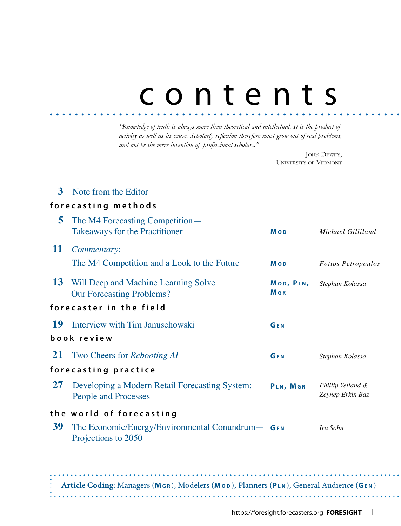# contents

*"Knowledge of truth is always more than theoretical and intellectual. It is the product of activity as well as its cause. Scholarly reflection therefore must grow out of real problems, and not be the mere invention of professional scholars."*

> JOHN DEWEY, University of Vermont

### **3**  Note from the Editor

### **forecasting methods**

| The M4 Forecasting Competition—<br>Takeaways for the Practitioner             | <b>Mop</b>                          | Michael Gilliland                                   |
|-------------------------------------------------------------------------------|-------------------------------------|-----------------------------------------------------|
| Commentary:                                                                   |                                     |                                                     |
| The M4 Competition and a Look to the Future                                   | Mop                                 | <b>Fotios Petropoulos</b>                           |
| Will Deep and Machine Learning Solve<br><b>Our Forecasting Problems?</b>      | MOD, PLN,<br><b>M</b> <sub>GR</sub> | Stephan Kolassa                                     |
| forecaster in the field                                                       |                                     |                                                     |
| Interview with Tim Januschowski                                               | GEN                                 |                                                     |
| book review                                                                   |                                     |                                                     |
| <b>21</b> Two Cheers for <i>Rebooting AI</i>                                  | GEN                                 | Stephan Kolassa                                     |
| forecasting practice                                                          |                                     |                                                     |
| Developing a Modern Retail Forecasting System:<br><b>People and Processes</b> | PLN, MGR                            | Phillip Yelland &<br>Zeynep Erkin Baz               |
| the world of forecasting<br>Projections to 2050                               |                                     | Ira Sohn                                            |
|                                                                               |                                     | The Economic/Energy/Environmental Conundrum $-$ GEN |

**Article Coding**: Managers (**Mg r** ), Modelers (**Mo d** ), Planners (**Pl n** ), General Audience (**Ge n** )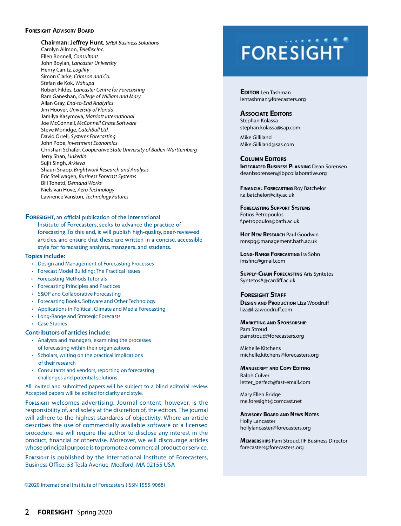### **FORESIGHT ADVISORY BOARD**

**Chairman: Jeffrey Hunt**, *SHEA Business Solutions* Carolyn Allmon, *Teleflex Inc.* Ellen Bonnell, *Consultant* John Boylan, *Lancaster University* Henry Canitz*, Logility* Simon Clarke, *Crimson and Co.*  Stefan de Kok, *Wahupa* Robert Fildes, *Lancaster Centre for Forecasting* Ram Ganeshan, *College of William and Mary* Allan Gray, *End-to-End Analytics* Jim Hoover, *University of Florida* Jamilya Kasymova, *Marriott International* Joe McConnell, *McConnell Chase Software* Steve Morlidge, *CatchBull Ltd.* David Orrell, *Systems Forecasting* John Pope, *Investment Economics* Christian Schäfer, *Cooperative State University of Baden-Württemberg* Jerry Shan, *LinkedIn* Sujit Singh, *Arkieva* Shaun Snapp, *Brightwork Research and Analysis* Eric Stellwagen, *Business Forecast Systems* Bill Tonetti, *Demand Works* Niels van Hove, *Aero Technology* Lawrence Vanston, *Technology Futures*

### **FORESIGHT**, an official publication of the International

Institute of Forecasters, seeks to advance the practice of forecasting. To this end, it will publish high-quality, peer-reviewed articles, and ensure that these are written in a concise, accessible style for forecasting analysts, managers, and students.

### **Topics include:**

- Design and Management of Forecasting Processes
- Forecast Model Building: The Practical Issues
- Forecasting Methods Tutorials
- Forecasting Principles and Practices
- S&OP and Collaborative Forecasting
- Forecasting Books, Software and Other Technology
- Applications in Political, Climate and Media Forecasting
- Long-Range and Strategic Forecasts
- Case Studies

### **Contributors of articles include:**

- Analysts and managers, examining the processes of forecasting within their organizations
- Scholars, writing on the practical implications of their research
- Consultants and vendors, reporting on forecasting challenges and potential solutions

All invited and submitted papers will be subject to a blind editorial review. Accepted papers will be edited for clarity and style.

**Foresight** welcomes advertising. Journal content, however, is the responsibility of, and solely at the discretion of, the editors. The journal will adhere to the highest standards of objectivity. Where an article describes the use of commercially available software or a licensed procedure, we will require the author to disclose any interest in the product, financial or otherwise. Moreover, we will discourage articles whose principal purpose is to promote a commercial product or service.

**Foresight** is published by the International Institute of Forecasters, Business Office: 53 Tesla Avenue, Medford, MA 02155 USA

## **FORESIGHT**

**EDITOR** Len Tashman lentashman@forecasters.org

### **Associate Editors**

Stephan Kolassa stephan.kolassa@sap.com

Mike Gilliland Mike.Gilliland@sas.com

### **Column Editors**

**INTEGRATED BUSINESS PLANNING** Dean Sorensen deanbsorensen@ibpcollaborative.org

**Financial Forecasting** Roy Batchelor r.a.batchelor@city.ac.uk

**Forecasting Support Systems** Fotios Petropoulos f.petropoulos@bath.ac.uk

**Hot New Research** Paul Goodwin mnspg@management.bath.ac.uk

**Long-Range Forecasting** Ira Sohn imsfinc@gmail.com

**Supply-Chain Forecasting** Aris Syntetos SyntetosA@cardiff.ac.uk

### **Foresight Staff**

**DESIGN AND PRODUCTION** Liza Woodruff liza@lizawoodruff.com

### **Marketing and Sponsorship** Pam Stroud pamstroud@forecasters.org

Michelle Kitchens michelle.kitchens@forecasters.org

#### **Manuscript and Copy Editing**

Ralph Culver letter\_perfect@fast-email.com

Mary Ellen Bridge me.foresight@comcast.net

**Advisory Board and News Notes** Holly Lancaster hollylancaster@forecasters.org

**Memberships** Pam Stroud, IIF Business Director forecasters@forecasters.org

©2020 International Institute of Forecasters (ISSN 1555-9068)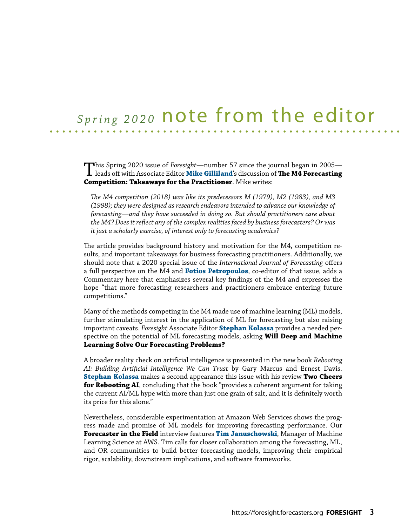### *Spring 2020* note from the editor

This Spring 2020 issue of *Foresight*—number 57 since the journal began in 2005— leads off with Associate Editor **Mike Gilliland**'s discussion of **The M4 Forecasting Competition: Takeaways for the Practitioner**. Mike writes:

*The M4 competition (2018) was like its predecessors M (1979), M2 (1983), and M3 (1998); they were designed as research endeavors intended to advance our knowledge of forecasting—and they have succeeded in doing so. But should practitioners care about the M4? Does it reflect any of the complex realities faced by business forecasters? Or was it just a scholarly exercise, of interest only to forecasting academics?*

The article provides background history and motivation for the M4, competition results, and important takeaways for business forecasting practitioners. Additionally, we should note that a 2020 special issue of the *International Journal of Forecasting* offers a full perspective on the M4 and **Fotios Petropoulos**, co-editor of that issue, adds a Commentary here that emphasizes several key findings of the M4 and expresses the hope "that more forecasting researchers and practitioners embrace entering future competitions."

Many of the methods competing in the M4 made use of machine learning (ML) models, further stimulating interest in the application of ML for forecasting but also raising important caveats. *Foresight* Associate Editor **Stephan Kolassa** provides a needed perspective on the potential of ML forecasting models, asking **Will Deep and Machine Learning Solve Our Forecasting Problems?**

A broader reality check on artificial intelligence is presented in the new book *Rebooting AI: Building Artificial Intelligence We Can Trust* by Gary Marcus and Ernest Davis. **Stephan Kolassa** makes a second appearance this issue with his review **Two Cheers for Rebooting AI**, concluding that the book "provides a coherent argument for taking the current AI/ML hype with more than just one grain of salt, and it is definitely worth its price for this alone."

Nevertheless, considerable experimentation at Amazon Web Services shows the progress made and promise of ML models for improving forecasting performance. Our **Forecaster in the Field** interview features **Tim Januschowski**, Manager of Machine Learning Science at AWS. Tim calls for closer collaboration among the forecasting, ML, and OR communities to build better forecasting models, improving their empirical rigor, scalability, downstream implications, and software frameworks.